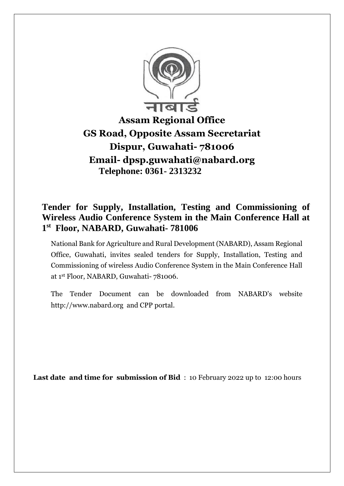

# **Assam Regional Office GS Road, Opposite Assam Secretariat Dispur, Guwahati- 781006 Email- dpsp.guwahati@nabard.org Telephone: 0361- 2313232**

## **Tender for Supply, Installation, Testing and Commissioning of Wireless Audio Conference System in the Main Conference Hall at 1 st Floor, NABARD, Guwahati- 781006**

National Bank for Agriculture and Rural Development (NABARD), Assam Regional Office, Guwahati, invites sealed tenders for Supply, Installation, Testing and Commissioning of wireless Audio Conference System in the Main Conference Hall at 1 st Floor, NABARD, Guwahati- 781006.

The Tender Document can be downloaded from NABARD's website [http://www.nabard.org](http://www.nabard.org/) and CPP portal.

 **Last date and time for submission of Bid** : 10 February 2022 up to 12:00 hours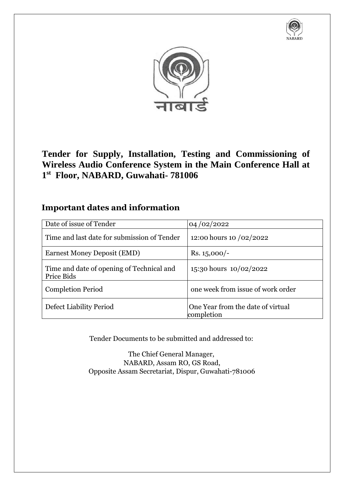



**Tender for Supply, Installation, Testing and Commissioning of Wireless Audio Conference System in the Main Conference Hall at 1 st Floor, NABARD, Guwahati- 781006**

## **Important dates and information**

| Date of issue of Tender                                 | 04/02/2022                                      |
|---------------------------------------------------------|-------------------------------------------------|
| Time and last date for submission of Tender             | 12:00 hours 10 /02/2022                         |
| <b>Earnest Money Deposit (EMD)</b>                      | Rs. $15,000/-$                                  |
| Time and date of opening of Technical and<br>Price Bids | 15:30 hours 10/02/2022                          |
| <b>Completion Period</b>                                | one week from issue of work order               |
| Defect Liability Period                                 | One Year from the date of virtual<br>completion |

Tender Documents to be submitted and addressed to:

The Chief General Manager, NABARD, Assam RO, GS Road, Opposite Assam Secretariat, Dispur, Guwahati-781006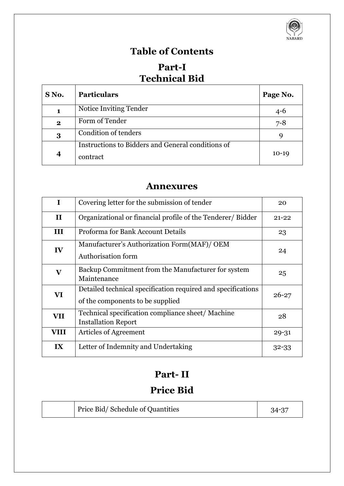

# **Table of Contents**

# **Part-I Technical Bid**

| S No.            | <b>Particulars</b>                                            | Page No. |
|------------------|---------------------------------------------------------------|----------|
| 1                | Notice Inviting Tender                                        | $4 - 6$  |
| $\mathbf{2}$     | Form of Tender                                                | $7 - 8$  |
| 3                | Condition of tenders                                          | 9        |
| $\boldsymbol{4}$ | Instructions to Bidders and General conditions of<br>contract | $10-19$  |

## **Annexures**

| $\mathbf I$  | Covering letter for the submission of tender                                                     | 20        |
|--------------|--------------------------------------------------------------------------------------------------|-----------|
| $\mathbf{I}$ | Organizational or financial profile of the Tenderer/ Bidder                                      | $21 - 22$ |
| III          | Proforma for Bank Account Details                                                                | 23        |
| IV           | Manufacturer's Authorization Form(MAF)/ OEM<br>Authorisation form                                | 24        |
| $\mathbf{V}$ | Backup Commitment from the Manufacturer for system<br>Maintenance                                | 25        |
| VI           | Detailed technical specification required and specifications<br>of the components to be supplied | $26 - 27$ |
| <b>VII</b>   | Technical specification compliance sheet/Machine<br><b>Installation Report</b>                   | 28        |
| VIII         | <b>Articles of Agreement</b>                                                                     | $29 - 31$ |
| IX           | Letter of Indemnity and Undertaking                                                              | $32 - 33$ |

# **Part- II**

# **Price Bid**

|  | Price Bid/Schedule of Quantities | $34 - 37$ |
|--|----------------------------------|-----------|
|--|----------------------------------|-----------|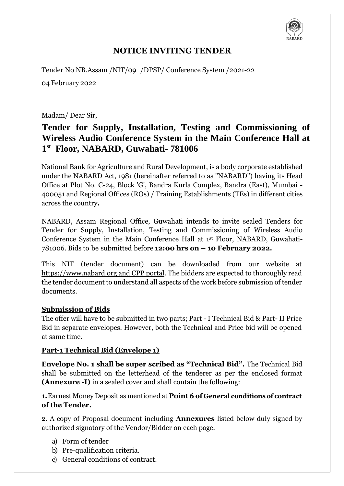

## **NOTICE INVITING TENDER**

Tender No NB.Assam /NIT/09 /DPSP/ Conference System /2021-22

04 February 2022

Madam/ Dear Sir,

## **Tender for Supply, Installation, Testing and Commissioning of Wireless Audio Conference System in the Main Conference Hall at 1 st Floor, NABARD, Guwahati- 781006**

National Bank for Agriculture and Rural Development, is a body corporate established under the NABARD Act, 1981 (hereinafter referred to as "NABARD") having its Head Office at Plot No. C-24, Block 'G', Bandra Kurla Complex, Bandra (East), Mumbai - 400051 and Regional Offices (ROs) / Training Establishments (TEs) in different cities across the country**.**

NABARD, Assam Regional Office, Guwahati intends to invite sealed Tenders for Tender for Supply, Installation, Testing and Commissioning of Wireless Audio Conference System in the Main Conference Hall at 1st Floor, NABARD, Guwahati-781006. Bids to be submitted before **12:00 hrs on – 10 February 2022.**

This NIT (tender document) can be downloaded from our website at https://www.nabard.org and CPP portal. The bidders are expected to thoroughly read the tender document to understand all aspects of the work before submission of tender documents.

#### **Submission of Bids**

The offer will have to be submitted in two parts; Part - I Technical Bid & Part- II Price Bid in separate envelopes. However, both the Technical and Price bid will be opened at same time.

#### **Part-1 Technical Bid (Envelope 1)**

**Envelope No. 1 shall be super scribed as "Technical Bid".** The Technical Bid shall be submitted on the letterhead of the tenderer as per the enclosed format **(Annexure -I)** in a sealed cover and shall contain the following:

**1.**Earnest Money Deposit as mentioned at **Point 6 of General conditions of contract of the Tender.**

2. A copy of Proposal document including **Annexures** listed below duly signed by authorized signatory of the Vendor/Bidder on each page.

- a) Form of tender
- b) Pre-qualification criteria.
- c) General conditions of contract.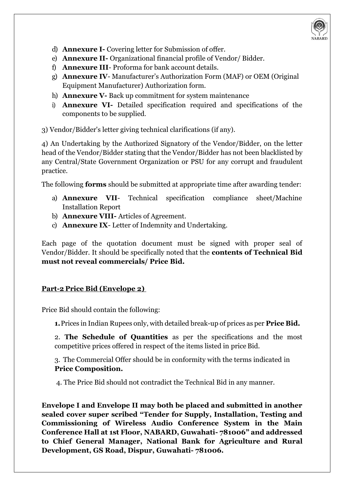

- d) **Annexure I-** Covering letter for Submission of offer.
- e) **Annexure II-** Organizational financial profile of Vendor/ Bidder.
- f) **Annexure III** Proforma for bank account details.
- g) **Annexure IV** Manufacturer's Authorization Form (MAF) or OEM (Original Equipment Manufacturer) Authorization form.
- h) **Annexure V-** Back up commitment for system maintenance
- i) **Annexure VI-** Detailed specification required and specifications of the components to be supplied.

3) Vendor/Bidder's letter giving technical clarifications (if any).

4) An Undertaking by the Authorized Signatory of the Vendor/Bidder, on the letter head of the Vendor/Bidder stating that the Vendor/Bidder has not been blacklisted by any Central/State Government Organization or PSU for any corrupt and fraudulent practice.

The following **forms** should be submitted at appropriate time after awarding tender:

- a) **Annexure VII** Technical specification compliance sheet/Machine Installation Report
- b) **Annexure VIII-** Articles of Agreement.
- c) **Annexure IX** Letter of Indemnity and Undertaking.

Each page of the quotation document must be signed with proper seal of Vendor/Bidder. It should be specifically noted that the **contents of Technical Bid must not reveal commercials/ Price Bid.**

## **Part-2 Price Bid (Envelope 2)**

Price Bid should contain the following:

**1.**Prices in Indian Rupees only, with detailed break-up of prices as per **Price Bid.**

2. **The Schedule of Quantities** as per the specifications and the most competitive prices offered in respect of the items listed in price Bid.

3. The Commercial Offer should be in conformity with the terms indicated in **Price Composition.**

4. The Price Bid should not contradict the Technical Bid in any manner.

**Envelope I and Envelope II may both be placed and submitted in another sealed cover super scribed "Tender for Supply, Installation, Testing and Commissioning of Wireless Audio Conference System in the Main Conference Hall at 1st Floor, NABARD, Guwahati- 781006" and addressed to Chief General Manager, National Bank for Agriculture and Rural Development, GS Road, Dispur, Guwahati- 781006.**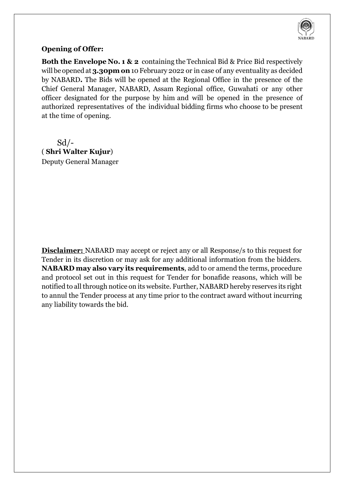

#### **Opening of Offer:**

**Both the Envelope No. 1 & 2** containing the Technical Bid & Price Bid respectively will be opened at **3.30pmon**10 February 2022 or in case of any eventuality as decided by NABARD**.** The Bids will be opened at the Regional Office in the presence of the Chief General Manager, NABARD, Assam Regional office, Guwahati or any other officer designated for the purpose by him and will be opened in the presence of authorized representatives of the individual bidding firms who choose to be present at the time of opening.

 $Sd$  /-( **Shri Walter Kujur**) Deputy General Manager

**Disclaimer:** NABARD may accept or reject any or all Response/s to this request for Tender in its discretion or may ask for any additional information from the bidders. **NABARD may also vary its requirements**, add to or amend the terms, procedure and protocol set out in this request for Tender for bonafide reasons, which will be notified to all through notice on its website. Further, NABARD hereby reserves its right to annul the Tender process at any time prior to the contract award without incurring any liability towards the bid.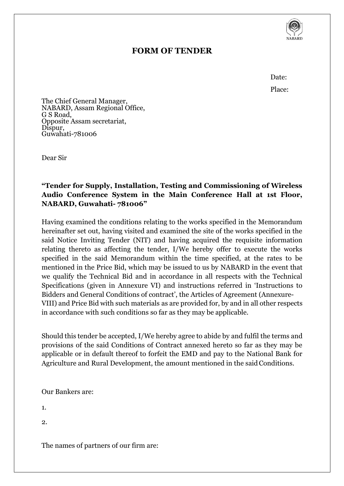

## **FORM OF TENDER**

Date: Place:

The Chief General Manager, NABARD, Assam Regional Office, G S Road, Opposite Assam secretariat, Dispur, Guwahati-781006

Dear Sir

### **"Tender for Supply, Installation, Testing and Commissioning of Wireless Audio Conference System in the Main Conference Hall at 1st Floor, NABARD, Guwahati- 781006"**

Having examined the conditions relating to the works specified in the Memorandum hereinafter set out, having visited and examined the site of the works specified in the said Notice Inviting Tender (NIT) and having acquired the requisite information relating thereto as affecting the tender, I/We hereby offer to execute the works specified in the said Memorandum within the time specified, at the rates to be mentioned in the Price Bid, which may be issued to us by NABARD in the event that we qualify the Technical Bid and in accordance in all respects with the Technical Specifications (given in Annexure VI) and instructions referred in 'Instructions to Bidders and General Conditions of contract', the Articles of Agreement (Annexure-VIII) and Price Bid with such materials as are provided for, by and in all other respects in accordance with such conditions so far as they may be applicable.

Should this tender be accepted, I/We hereby agree to abide by and fulfil the terms and provisions of the said Conditions of Contract annexed hereto so far as they may be applicable or in default thereof to forfeit the EMD and pay to the National Bank for Agriculture and Rural Development, the amount mentioned in the said Conditions.

Our Bankers are:

1.

2.

The names of partners of our firm are: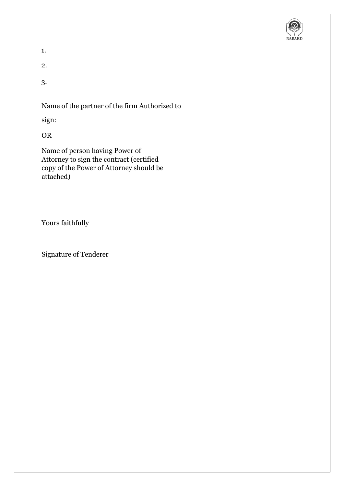

1.

2.

3.

Name of the partner of the firm Authorized to

sign:

OR

Name of person having Power of Attorney to sign the contract (certified copy of the Power of Attorney should be attached)

Yours faithfully

Signature of Tenderer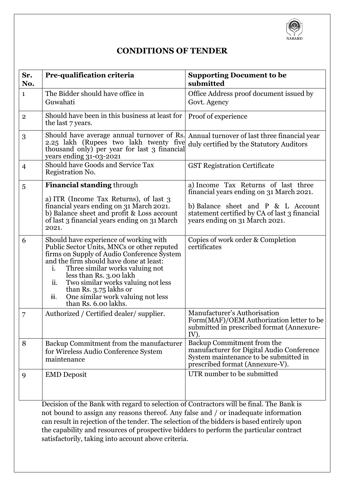

## **CONDITIONS OF TENDER**

| Sr.<br>No.     | Pre-qualification criteria                                                                                                                                                                                                                                                                                                                                                                    | <b>Supporting Document to be</b><br>submitted                                                                                                                                                            |
|----------------|-----------------------------------------------------------------------------------------------------------------------------------------------------------------------------------------------------------------------------------------------------------------------------------------------------------------------------------------------------------------------------------------------|----------------------------------------------------------------------------------------------------------------------------------------------------------------------------------------------------------|
| $\mathbf{1}$   | The Bidder should have office in<br>Guwahati                                                                                                                                                                                                                                                                                                                                                  | Office Address proof document issued by<br>Govt. Agency                                                                                                                                                  |
| $\mathbf{2}$   | Should have been in this business at least for<br>the last 7 years.                                                                                                                                                                                                                                                                                                                           | Proof of experience                                                                                                                                                                                      |
| 3              | Should have average annual turnover of Rs.<br>2.25 lakh (Rupees two lakh twenty five<br>thousand only) per year for last 3 financial<br>years ending 31-03-2021                                                                                                                                                                                                                               | Annual turnover of last three financial year<br>duly certified by the Statutory Auditors                                                                                                                 |
| $\overline{4}$ | Should have Goods and Service Tax<br>Registration No.                                                                                                                                                                                                                                                                                                                                         | <b>GST Registration Certificate</b>                                                                                                                                                                      |
| 5              | <b>Financial standing through</b><br>a) ITR (Income Tax Returns), of last 3<br>financial years ending on 31 March 2021.<br>b) Balance sheet and profit & Loss account<br>of last 3 financial years ending on 31 March<br>2021.                                                                                                                                                                | a) Income Tax Returns of last three<br>financial years ending on 31 March 2021.<br>b) Balance sheet and P & L Account<br>statement certified by CA of last 3 financial<br>years ending on 31 March 2021. |
| 6              | Should have experience of working with<br>Public Sector Units, MNCs or other reputed<br>firms on Supply of Audio Conference System<br>and the firm should have done at least:<br>i.<br>Three similar works valuing not<br>less than Rs. 3.00 lakh<br>Two similar works valuing not less<br>ii.<br>than Rs. 3.75 lakhs or<br>One similar work valuing not less<br>iii.<br>than Rs. 6.00 lakhs. | Copies of work order & Completion<br>certificates                                                                                                                                                        |
| 7              | Authorized / Certified dealer/ supplier.                                                                                                                                                                                                                                                                                                                                                      | Manufacturer's Authorisation<br>Form(MAF)/OEM Authorization letter to be<br>submitted in prescribed format (Annexure-<br>IV).                                                                            |
| 8              | Backup Commitment from the manufacturer<br>for Wireless Audio Conference System<br>maintenance                                                                                                                                                                                                                                                                                                | Backup Commitment from the<br>manufacturer for Digital Audio Conference<br>System maintenance to be submitted in<br>prescribed format (Annexure-V).                                                      |
| 9              | <b>EMD</b> Deposit                                                                                                                                                                                                                                                                                                                                                                            | UTR number to be submitted                                                                                                                                                                               |

Decision of the Bank with regard to selection of Contractors will be final. The Bank is not bound to assign any reasons thereof. Any false and / or inadequate information can result in rejection of the tender. The selection of the bidders is based entirely upon the capability and resources of prospective bidders to perform the particular contract satisfactorily, taking into account above criteria.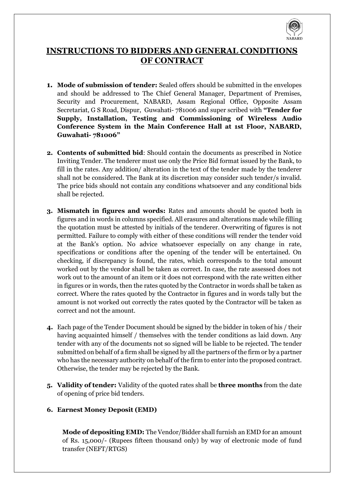

## **INSTRUCTIONS TO BIDDERS AND GENERAL CONDITIONS OF CONTRACT**

- **1. Mode of submission of tender:** Sealed offers should be submitted in the envelopes and should be addressed to The Chief General Manager, Department of Premises, Security and Procurement, NABARD, Assam Regional Office, Opposite Assam Secretariat, G S Road, Dispur, Guwahati- 781006 and super scribed with **"Tender for Supply, Installation, Testing and Commissioning of Wireless Audio Conference System in the Main Conference Hall at 1st Floor, NABARD, Guwahati- 781006"**
- **2. Contents of submitted bid**: Should contain the documents as prescribed in Notice Inviting Tender. The tenderer must use only the Price Bid format issued by the Bank, to fill in the rates. Any addition/ alteration in the text of the tender made by the tenderer shall not be considered. The Bank at its discretion may consider such tender/s invalid. The price bids should not contain any conditions whatsoever and any conditional bids shall be rejected.
- **3. Mismatch in figures and words:** Rates and amounts should be quoted both in figures and in words in columns specified. All erasures and alterations made while filling the quotation must be attested by initials of the tenderer. Overwriting of figures is not permitted. Failure to comply with either of these conditions will render the tender void at the Bank's option. No advice whatsoever especially on any change in rate, specifications or conditions after the opening of the tender will be entertained. On checking, if discrepancy is found, the rates, which corresponds to the total amount worked out by the vendor shall be taken as correct. In case, the rate assessed does not work out to the amount of an item or it does not correspond with the rate written either in figures or in words, then the rates quoted by the Contractor in words shall be taken as correct. Where the rates quoted by the Contractor in figures and in words tally but the amount is not worked out correctly the rates quoted by the Contractor will be taken as correct and not the amount.
- **4.** Each page of the Tender Document should be signed by the bidder in token of his / their having acquainted himself / themselves with the tender conditions as laid down. Any tender with any of the documents not so signed will be liable to be rejected. The tender submitted on behalf of a firm shall be signed by all the partners of the firm or by a partner who has the necessary authority on behalf of the firm to enter into the proposed contract. Otherwise, the tender may be rejected by the Bank.
- **5. Validity of tender:** Validity of the quoted rates shall be **three months** from the date of opening of price bid tenders.

#### **6. Earnest Money Deposit (EMD)**

**Mode of depositing EMD:** The Vendor/Bidder shall furnish an EMD for an amount of Rs. 15,000/- (Rupees fifteen thousand only) by way of electronic mode of fund transfer (NEFT/RTGS)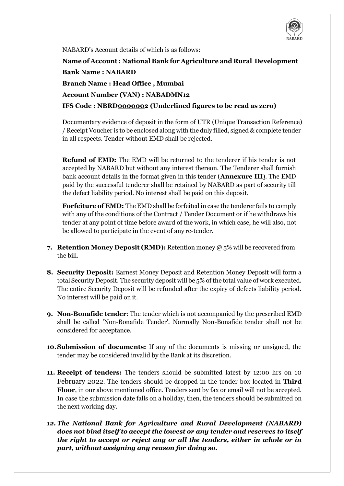

NABARD's Account details of which is as follows:

**Name of Account : National Bank for Agriculture and Rural Development Bank Name : NABARD**

**Branch Name : Head Office , Mumbai** 

**Account Number (VAN) : NABADMN12**

**IFS Code : NBRD0000002 (Underlined figures to be read as zero)** 

Documentary evidence of deposit in the form of UTR (Unique Transaction Reference) / Receipt Voucher is to be enclosed along with the duly filled, signed & complete tender in all respects. Tender without EMD shall be rejected.

**Refund of EMD:** The EMD will be returned to the tenderer if his tender is not accepted by NABARD but without any interest thereon. The Tenderer shall furnish bank account details in the format given in this tender (**Annexure III**). The EMD paid by the successful tenderer shall be retained by NABARD as part of security till the defect liability period. No interest shall be paid on this deposit.

**Forfeiture of EMD:** The EMD shall be forfeited in case the tenderer fails to comply with any of the conditions of the Contract / Tender Document or if he withdraws his tender at any point of time before award of the work, in which case, he will also, not be allowed to participate in the event of any re-tender.

- **7. Retention Money Deposit (RMD):** Retention money @ 5% will be recovered from the bill.
- **8. Security Deposit:** Earnest Money Deposit and Retention Money Deposit will form a total Security Deposit. The security deposit will be 5% of the total value of work executed. The entire Security Deposit will be refunded after the expiry of defects liability period. No interest will be paid on it.
- **9. Non-Bonafide tender**: The tender which is not accompanied by the prescribed EMD shall be called 'Non-Bonafide Tender'. Normally Non-Bonafide tender shall not be considered for acceptance.
- **10.Submission of documents:** If any of the documents is missing or unsigned, the tender may be considered invalid by the Bank at its discretion.
- **11. Receipt of tenders:** The tenders should be submitted latest by 12:00 hrs on 10 February 2022. The tenders should be dropped in the tender box located in **Third Floor**, in our above mentioned office. Tenders sent by fax or email will not be accepted. In case the submission date falls on a holiday, then, the tenders should be submitted on the next working day.
- *12. The National Bank for Agriculture and Rural Development (NABARD) does not bind itself to accept the lowest or any tender and reserves to itself the right to accept or reject any or all the tenders, either in whole or in part, without assigning any reason for doing so.*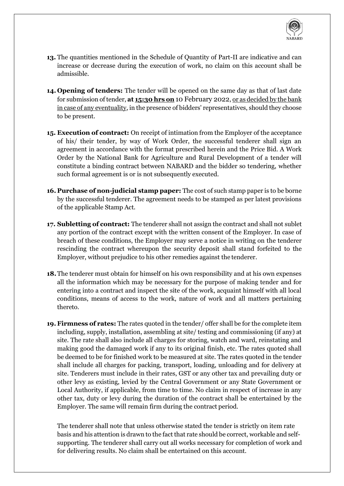

- **13.** The quantities mentioned in the Schedule of Quantity of Part-II are indicative and can increase or decrease during the execution of work, no claim on this account shall be admissible.
- **14. Opening of tenders:** The tender will be opened on the same day as that of last date for submission of tender, **at 15:30 hrs on** 10 February 2022, or as decided by the bank in case of any eventuality, in the presence of bidders' representatives, should they choose to be present.
- **15. Execution of contract:** On receipt of intimation from the Employer of the acceptance of his/ their tender, by way of Work Order, the successful tenderer shall sign an agreement in accordance with the format prescribed herein and the Price Bid. A Work Order by the National Bank for Agriculture and Rural Development of a tender will constitute a binding contract between NABARD and the bidder so tendering, whether such formal agreement is or is not subsequently executed.
- **16. Purchase of non-judicial stamp paper:** The cost of such stamp paper is to be borne by the successful tenderer. The agreement needs to be stamped as per latest provisions of the applicable Stamp Act.
- **17. Subletting of contract:** The tenderer shall not assign the contract and shall not sublet any portion of the contract except with the written consent of the Employer. In case of breach of these conditions, the Employer may serve a notice in writing on the tenderer rescinding the contract whereupon the security deposit shall stand forfeited to the Employer, without prejudice to his other remedies against the tenderer.
- **18.**The tenderer must obtain for himself on his own responsibility and at his own expenses all the information which may be necessary for the purpose of making tender and for entering into a contract and inspect the site of the work, acquaint himself with all local conditions, means of access to the work, nature of work and all matters pertaining thereto.
- **19. Firmness of rates:** The rates quoted in the tender/ offer shall be for the complete item including, supply, installation, assembling at site/ testing and commissioning (if any) at site. The rate shall also include all charges for storing, watch and ward, reinstating and making good the damaged work if any to its original finish, etc. The rates quoted shall be deemed to be for finished work to be measured at site. The rates quoted in the tender shall include all charges for packing, transport, loading, unloading and for delivery at site. Tenderers must include in their rates, GST or any other tax and prevailing duty or other levy as existing, levied by the Central Government or any State Government or Local Authority, if applicable, from time to time. No claim in respect of increase in any other tax, duty or levy during the duration of the contract shall be entertained by the Employer. The same will remain firm during the contract period.

The tenderer shall note that unless otherwise stated the tender is strictly on item rate basis and his attention is drawn to the fact that rate should be correct, workable and selfsupporting. The tenderer shall carry out all works necessary for completion of work and for delivering results. No claim shall be entertained on this account.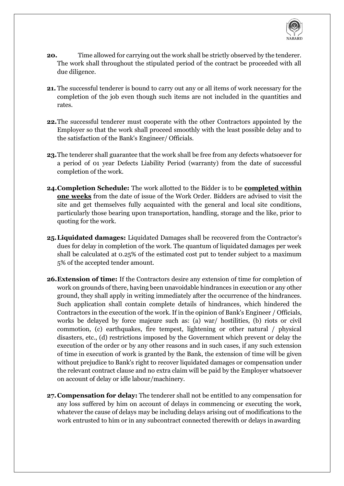

- **20.** Time allowed for carrying out the work shall be strictly observed by the tenderer. The work shall throughout the stipulated period of the contract be proceeded with all due diligence.
- **21.** The successful tenderer is bound to carry out any or all items of work necessary for the completion of the job even though such items are not included in the quantities and rates.
- **22.**The successful tenderer must cooperate with the other Contractors appointed by the Employer so that the work shall proceed smoothly with the least possible delay and to the satisfaction of the Bank's Engineer/ Officials.
- **23.**The tenderer shall guarantee that the work shall be free from any defects whatsoever for a period of 01 year Defects Liability Period (warranty) from the date of successful completion of the work.
- **24.Completion Schedule:** The work allotted to the Bidder is to be **completed within one weeks** from the date of issue of the Work Order. Bidders are advised to visit the site and get themselves fully acquainted with the general and local site conditions, particularly those bearing upon transportation, handling, storage and the like, prior to quoting for the work.
- **25.Liquidated damages:** Liquidated Damages shall be recovered from the Contractor's dues for delay in completion of the work. The quantum of liquidated damages per week shall be calculated at 0.25% of the estimated cost put to tender subject to a maximum 5% of the accepted tender amount.
- **26.Extension of time:** If the Contractors desire any extension of time for completion of work on grounds of there, having been unavoidable hindrances in execution or any other ground, they shall apply in writing immediately after the occurrence of the hindrances. Such application shall contain complete details of hindrances, which hindered the Contractors in the execution of the work. If in the opinion of Bank's Engineer / Officials, works be delayed by force majeure such as: (a) war/ hostilities, (b) riots or civil commotion, (c) earthquakes, fire tempest, lightening or other natural / physical disasters, etc., (d) restrictions imposed by the Government which prevent or delay the execution of the order or by any other reasons and in such cases, if any such extension of time in execution of work is granted by the Bank, the extension of time will be given without prejudice to Bank's right to recover liquidated damages or compensation under the relevant contract clause and no extra claim will be paid by the Employer whatsoever on account of delay or idle labour/machinery.
- **27.Compensation for delay:** The tenderer shall not be entitled to any compensation for any loss suffered by him on account of delays in commencing or executing the work, whatever the cause of delays may be including delays arising out of modifications to the work entrusted to him or in any subcontract connected therewith or delays inawarding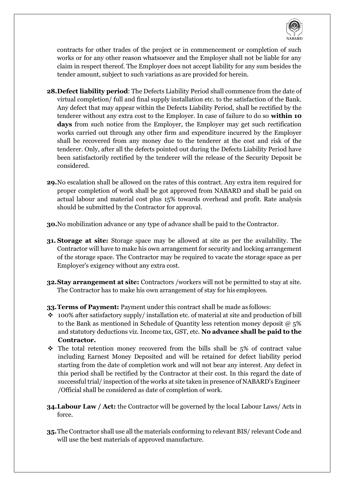

contracts for other trades of the project or in commencement or completion of such works or for any other reason whatsoever and the Employer shall not be liable for any claim in respect thereof. The Employer does not accept liability for any sum besides the tender amount, subject to such variations as are provided for herein.

- **28.Defect liability period**: The Defects Liability Period shall commence from the date of virtual completion/ full and final supply installation etc. to the satisfaction of the Bank. Any defect that may appear within the Defects Liability Period, shall be rectified by the tenderer without any extra cost to the Employer. In case of failure to do so **within 10 days** from such notice from the Employer, the Employer may get such rectification works carried out through any other firm and expenditure incurred by the Employer shall be recovered from any money due to the tenderer at the cost and risk of the tenderer. Only, after all the defects pointed out during the Defects Liability Period have been satisfactorily rectified by the tenderer will the release of the Security Deposit be considered.
- **29.**No escalation shall be allowed on the rates of this contract. Any extra item required for proper completion of work shall be got approved from NABARD and shall be paid on actual labour and material cost plus 15% towards overhead and profit. Rate analysis should be submitted by the Contractor for approval.
- **30.**No mobilization advance or any type of advance shall be paid to the Contractor.
- **31. Storage at site:** Storage space may be allowed at site as per the availability. The Contractor will have to make his own arrangement for security and locking arrangement of the storage space. The Contractor may be required to vacate the storage space as per Employer's exigency without any extra cost.
- **32.Stay arrangement at site:** Contractors /workers will not be permitted to stay at site. The Contractor has to make his own arrangement of stay for his employees.
- **33.Terms of Payment:** Payment under this contract shall be made as follows:
- $\cdot$  100% after satisfactory supply/ installation etc. of material at site and production of bill to the Bank as mentioned in Schedule of Quantity less retention money deposit @ 5% and statutory deductions viz. Income tax, GST, etc. **No advance shall be paid to the Contractor.**
- The total retention money recovered from the bills shall be 5% of contract value including Earnest Money Deposited and will be retained for defect liability period starting from the date of completion work and will not bear any interest. Any defect in this period shall be rectified by the Contractor at their cost. In this regard the date of successful trial/ inspection of the works at site taken in presence of NABARD's Engineer /Official shall be considered as date of completion of work.
- **34.Labour Law / Act:** the Contractor will be governed by the local Labour Laws/ Acts in force.
- **35.**The Contractor shall use all the materials conforming to relevant BIS/ relevant Code and will use the best materials of approved manufacture.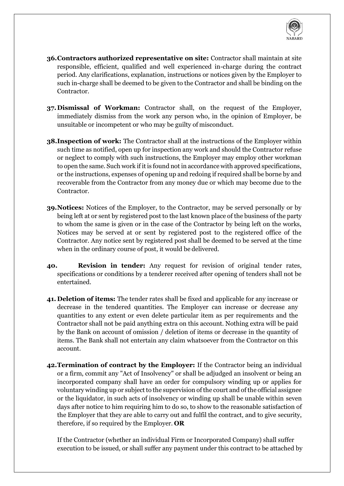

- **36.Contractors authorized representative on site:** Contractor shall maintain at site responsible, efficient, qualified and well experienced in-charge during the contract period. Any clarifications, explanation, instructions or notices given by the Employer to such in-charge shall be deemed to be given to the Contractor and shall be binding on the Contractor.
- **37.Dismissal of Workman:** Contractor shall, on the request of the Employer, immediately dismiss from the work any person who, in the opinion of Employer, be unsuitable or incompetent or who may be guilty of misconduct.
- **38.Inspection of work:** The Contractor shall at the instructions of the Employer within such time as notified, open up for inspection any work and should the Contractor refuse or neglect to comply with such instructions, the Employer may employ other workman to open the same. Such work if it is found not in accordance with approved specifications, or the instructions, expenses of opening up and redoing if required shall be borne by and recoverable from the Contractor from any money due or which may become due to the Contractor.
- **39.Notices:** Notices of the Employer, to the Contractor, may be served personally or by being left at or sent by registered post to the last known place of the business of the party to whom the same is given or in the case of the Contractor by being left on the works, Notices may be served at or sent by registered post to the registered office of the Contractor. Any notice sent by registered post shall be deemed to be served at the time when in the ordinary course of post, it would be delivered.
- **40. Revision in tender:** Any request for revision of original tender rates, specifications or conditions by a tenderer received after opening of tenders shall not be entertained.
- **41. Deletion of items:** The tender rates shall be fixed and applicable for any increase or decrease in the tendered quantities. The Employer can increase or decrease any quantities to any extent or even delete particular item as per requirements and the Contractor shall not be paid anything extra on this account. Nothing extra will be paid by the Bank on account of omission / deletion of items or decrease in the quantity of items. The Bank shall not entertain any claim whatsoever from the Contractor on this account.
- **42.Termination of contract by the Employer:** If the Contractor being an individual or a firm, commit any "Act of Insolvency" or shall be adjudged an insolvent or being an incorporated company shall have an order for compulsory winding up or applies for voluntary winding up or subject to the supervision of the court and of the official assignee or the liquidator, in such acts of insolvency or winding up shall be unable within seven days after notice to him requiring him to do so, to show to the reasonable satisfaction of the Employer that they are able to carry out and fulfil the contract, and to give security, therefore, if so required by the Employer. **OR**

If the Contractor (whether an individual Firm or Incorporated Company) shall suffer execution to be issued, or shall suffer any payment under this contract to be attached by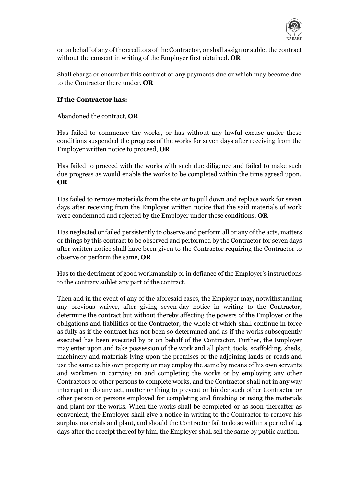

or on behalf of any of the creditors of the Contractor, or shall assign or sublet the contract without the consent in writing of the Employer first obtained. **OR**

Shall charge or encumber this contract or any payments due or which may become due to the Contractor there under. **OR**

#### **If the Contractor has:**

Abandoned the contract, **OR**

Has failed to commence the works, or has without any lawful excuse under these conditions suspended the progress of the works for seven days after receiving from the Employer written notice to proceed, **OR**

Has failed to proceed with the works with such due diligence and failed to make such due progress as would enable the works to be completed within the time agreed upon, **OR**

Has failed to remove materials from the site or to pull down and replace work for seven days after receiving from the Employer written notice that the said materials of work were condemned and rejected by the Employer under these conditions, **OR**

Has neglected or failed persistently to observe and perform all or any of the acts, matters or things by this contract to be observed and performed by the Contractor for seven days after written notice shall have been given to the Contractor requiring the Contractor to observe or perform the same, **OR**

Has to the detriment of good workmanship or in defiance of the Employer's instructions to the contrary sublet any part of the contract.

Then and in the event of any of the aforesaid cases, the Employer may, notwithstanding any previous waiver, after giving seven-day notice in writing to the Contractor, determine the contract but without thereby affecting the powers of the Employer or the obligations and liabilities of the Contractor, the whole of which shall continue in force as fully as if the contract has not been so determined and as if the works subsequently executed has been executed by or on behalf of the Contractor. Further, the Employer may enter upon and take possession of the work and all plant, tools, scaffolding, sheds, machinery and materials lying upon the premises or the adjoining lands or roads and use the same as his own property or may employ the same by means of his own servants and workmen in carrying on and completing the works or by employing any other Contractors or other persons to complete works, and the Contractor shall not in any way interrupt or do any act, matter or thing to prevent or hinder such other Contractor or other person or persons employed for completing and finishing or using the materials and plant for the works. When the works shall be completed or as soon thereafter as convenient, the Employer shall give a notice in writing to the Contractor to remove his surplus materials and plant, and should the Contractor fail to do so within a period of 14 days after the receipt thereof by him, the Employer shall sell the same by public auction,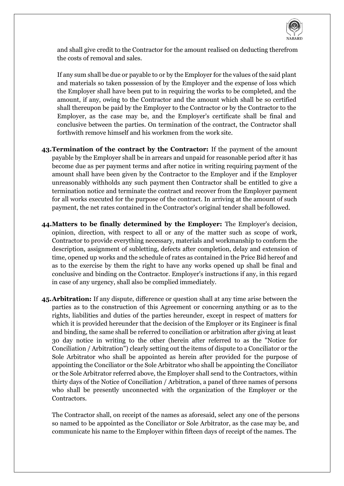

and shall give credit to the Contractor for the amount realised on deducting therefrom the costs of removal and sales.

If any sum shall be due or payable to or by the Employer for the values of the said plant and materials so taken possession of by the Employer and the expense of loss which the Employer shall have been put to in requiring the works to be completed, and the amount, if any, owing to the Contractor and the amount which shall be so certified shall thereupon be paid by the Employer to the Contractor or by the Contractor to the Employer, as the case may be, and the Employer's certificate shall be final and conclusive between the parties. On termination of the contract, the Contractor shall forthwith remove himself and his workmen from the work site.

- **43.Termination of the contract by the Contractor:** If the payment of the amount payable by the Employer shall be in arrears and unpaid for reasonable period after it has become due as per payment terms and after notice in writing requiring payment of the amount shall have been given by the Contractor to the Employer and if the Employer unreasonably withholds any such payment then Contractor shall be entitled to give a termination notice and terminate the contract and recover from the Employer payment for all works executed for the purpose of the contract. In arriving at the amount of such payment, the net rates contained in the Contractor's original tender shall befollowed.
- **44.Matters to be finally determined by the Employer:** The Employer's decision, opinion, direction, with respect to all or any of the matter such as scope of work, Contractor to provide everything necessary, materials and workmanship to conform the description, assignment of subletting, defects after completion, delay and extension of time, opened up works and the schedule of rates as contained in the Price Bid hereof and as to the exercise by them the right to have any works opened up shall be final and conclusive and binding on the Contractor. Employer's instructions if any, in this regard in case of any urgency, shall also be complied immediately.
- **45.Arbitration:** If any dispute, difference or question shall at any time arise between the parties as to the construction of this Agreement or concerning anything or as to the rights, liabilities and duties of the parties hereunder, except in respect of matters for which it is provided hereunder that the decision of the Employer or its Engineer is final and binding, the same shall be referred to conciliation or arbitration after giving at least 30 day notice in writing to the other (herein after referred to as the "Notice for Conciliation / Arbitration") clearly setting out the items of dispute to a Conciliator or the Sole Arbitrator who shall be appointed as herein after provided for the purpose of appointing the Conciliator or the Sole Arbitrator who shall be appointing the Conciliator or the Sole Arbitrator referred above, the Employer shall send to the Contractors, within thirty days of the Notice of Conciliation / Arbitration, a panel of three names of persons who shall be presently unconnected with the organization of the Employer or the Contractors.

The Contractor shall, on receipt of the names as aforesaid, select any one of the persons so named to be appointed as the Conciliator or Sole Arbitrator, as the case may be, and communicate his name to the Employer within fifteen days of receipt of the names. The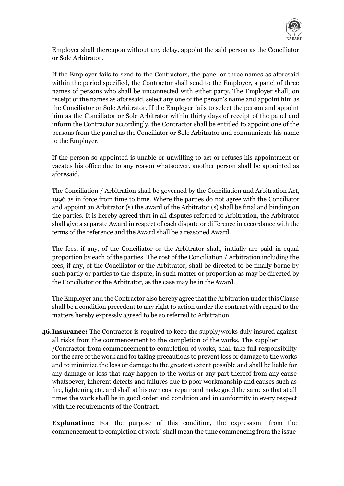

Employer shall thereupon without any delay, appoint the said person as the Conciliator or Sole Arbitrator.

If the Employer fails to send to the Contractors, the panel or three names as aforesaid within the period specified, the Contractor shall send to the Employer, a panel of three names of persons who shall be unconnected with either party. The Employer shall, on receipt of the names as aforesaid, select any one of the person's name and appoint him as the Conciliator or Sole Arbitrator. If the Employer fails to select the person and appoint him as the Conciliator or Sole Arbitrator within thirty days of receipt of the panel and inform the Contractor accordingly, the Contractor shall be entitled to appoint one of the persons from the panel as the Conciliator or Sole Arbitrator and communicate his name to the Employer.

If the person so appointed is unable or unwilling to act or refuses his appointment or vacates his office due to any reason whatsoever, another person shall be appointed as aforesaid.

The Conciliation / Arbitration shall be governed by the Conciliation and Arbitration Act, 1996 as in force from time to time. Where the parties do not agree with the Conciliator and appoint an Arbitrator (s) the award of the Arbitrator (s) shall be final and binding on the parties. It is hereby agreed that in all disputes referred to Arbitration, the Arbitrator shall give a separate Award in respect of each dispute or difference in accordance with the terms of the reference and the Award shall be a reasoned Award.

The fees, if any, of the Conciliator or the Arbitrator shall, initially are paid in equal proportion by each of the parties. The cost of the Conciliation / Arbitration including the fees, if any, of the Conciliator or the Arbitrator, shall be directed to be finally borne by such partly or parties to the dispute, in such matter or proportion as may be directed by the Conciliator or the Arbitrator, as the case may be in theAward.

The Employer and the Contractor also hereby agree that the Arbitration under this Clause shall be a condition precedent to any right to action under the contract with regard to the matters hereby expressly agreed to be so referred to Arbitration.

**46.Insurance:** The Contractor is required to keep the supply/works duly insured against all risks from the commencement to the completion of the works. The supplier /Contractor from commencement to completion of works, shall take full responsibility for the care of the work and for taking precautions to prevent loss or damage to the works and to minimize the loss or damage to the greatest extent possible and shall be liable for any damage or loss that may happen to the works or any part thereof from any cause whatsoever, inherent defects and failures due to poor workmanship and causes such as fire, lightening etc. and shall at his own cost repair and make good the same so that at all times the work shall be in good order and condition and in conformity in every respect with the requirements of the Contract.

**Explanation:** For the purpose of this condition, the expression "from the commencement to completion of work" shall mean the time commencing from the issue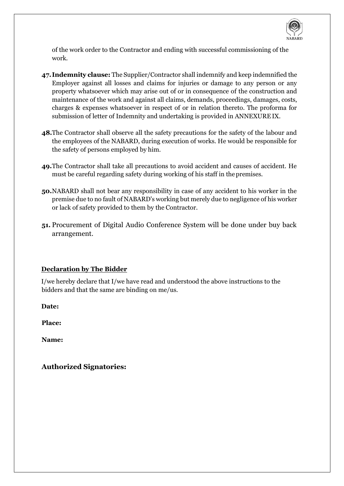

of the work order to the Contractor and ending with successful commissioning of the work.

- **47.Indemnity clause:** The Supplier/Contractor shall indemnify and keep indemnified the Employer against all losses and claims for injuries or damage to any person or any property whatsoever which may arise out of or in consequence of the construction and maintenance of the work and against all claims, demands, proceedings, damages, costs, charges & expenses whatsoever in respect of or in relation thereto. The proforma for submission of letter of Indemnity and undertaking is provided in ANNEXUREIX.
- **48.**The Contractor shall observe all the safety precautions for the safety of the labour and the employees of the NABARD, during execution of works. He would be responsible for the safety of persons employed by him.
- **49.**The Contractor shall take all precautions to avoid accident and causes of accident. He must be careful regarding safety during working of his staff in thepremises.
- **50.**NABARD shall not bear any responsibility in case of any accident to his worker in the premise due to no fault of NABARD's working but merely due to negligence of his worker or lack of safety provided to them by the Contractor.
- **51.** Procurement of Digital Audio Conference System will be done under buy back arrangement.

#### **Declaration by The Bidder**

I/we hereby declare that I/we have read and understood the above instructions to the bidders and that the same are binding on me/us.

**Date:**

**Place:**

**Name:**

**Authorized Signatories:**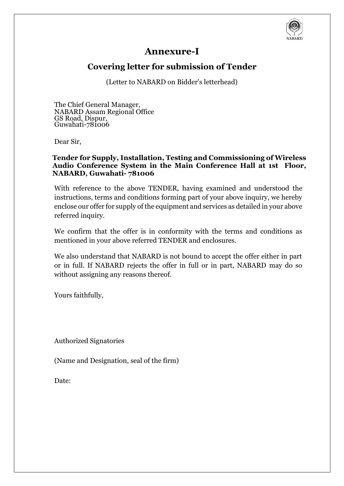

## **Annexure-I**

## **Covering letter for submission of Tender**

(Letter to NABARD on Bidder's letterhead)

The Chief General Manager, NABARD Assam Regional Office GS Road, Dispur, Guwahati-781006

Dear Sir,

#### **Tender for Supply, Installation, Testing and Commissioning of Wireless Audio Conference System in the Main Conference Hall at 1st Floor, NABARD, Guwahati- 781006**

With reference to the above TENDER, having examined and understood the instructions, terms and conditions forming part of your above inquiry, we hereby enclose our offer for supply of the equipment and services as detailed in your above referred inquiry.

We confirm that the offer is in conformity with the terms and conditions as mentioned in your above referred TENDER and enclosures.

We also understand that NABARD is not bound to accept the offer either in part or in full. If NABARD rejects the offer in full or in part, NABARD may do so without assigning any reasons thereof.

Yours faithfully,

Authorized Signatories

(Name and Designation, seal of the firm)

Date: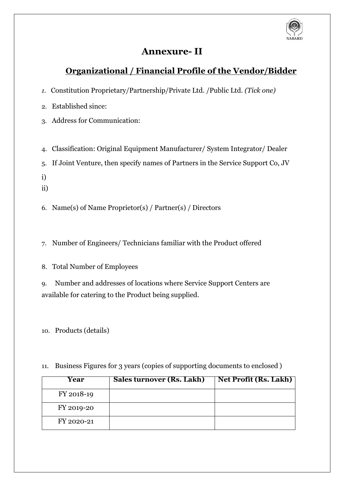

## **Annexure- II**

## **Organizational / Financial Profile of the Vendor/Bidder**

- *1.* Constitution Proprietary/Partnership/Private Ltd. /Public Ltd. *(Tick one)*
- 2. Established since:
- 3. Address for Communication:
- 4. Classification: Original Equipment Manufacturer/ System Integrator/ Dealer
- 5. If Joint Venture, then specify names of Partners in the Service Support Co, JV
- i)
- ii)
- 6. Name(s) of Name Proprietor(s) / Partner(s) / Directors
- 7. Number of Engineers/ Technicians familiar with the Product offered
- 8. Total Number of Employees

9. Number and addresses of locations where Service Support Centers are available for catering to the Product being supplied.

10. Products (details)

11. Business Figures for 3 years (copies of supporting documents to enclosed )

| Year       | Sales turnover (Rs. Lakh) | <b>Net Profit (Rs. Lakh)</b> |
|------------|---------------------------|------------------------------|
| FY 2018-19 |                           |                              |
| FY 2019-20 |                           |                              |
| FY 2020-21 |                           |                              |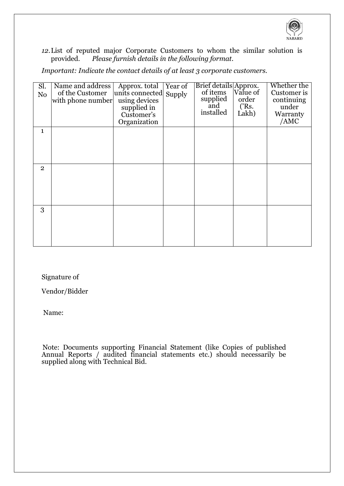

*12.*List of reputed major Corporate Customers to whom the similar solution is provided. *Please furnish details in the following format.*

*Important: Indicate the contact details of at least 3 corporate customers.*

| Sl.<br>N <sub>o</sub> | Name and address<br>of the Customer<br>with phone number | Approx. total<br>units connected<br>using devices<br>supplied in<br>Customer's<br>Organization | Year of<br>Supply | Brief details Approx.<br>of items<br>supplied<br>and<br>installed | Value of<br>order<br>$($ 'Rs.<br>Lakh) | Whether the<br>Customer is<br>continuing<br>under<br>Warranty<br>/AMC |
|-----------------------|----------------------------------------------------------|------------------------------------------------------------------------------------------------|-------------------|-------------------------------------------------------------------|----------------------------------------|-----------------------------------------------------------------------|
| 1                     |                                                          |                                                                                                |                   |                                                                   |                                        |                                                                       |
| $\overline{2}$        |                                                          |                                                                                                |                   |                                                                   |                                        |                                                                       |
| 3                     |                                                          |                                                                                                |                   |                                                                   |                                        |                                                                       |

Signature of

Vendor/Bidder

Name:

Note: Documents supporting Financial Statement (like Copies of published Annual Reports / audited financial statements etc.) should necessarily be supplied along with Technical Bid.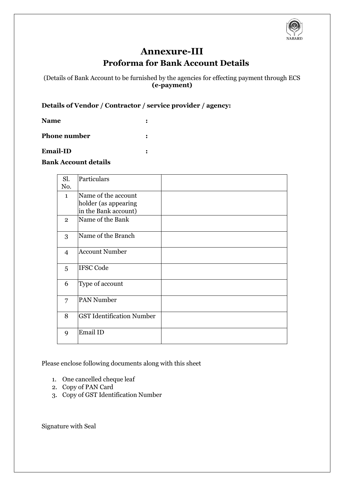

## **Annexure-III Proforma for Bank Account Details**

(Details of Bank Account to be furnished by the agencies for effecting payment through ECS **(e-payment)**

#### **Details of Vendor / Contractor / service provider / agency:**

**Name :**

**Phone number :**

#### **Email-ID :**

#### **Bank Account details**

| Sl.            | Particulars                                 |  |
|----------------|---------------------------------------------|--|
| No.            |                                             |  |
| $\mathbf{1}$   | Name of the account<br>holder (as appearing |  |
|                | in the Bank account)                        |  |
| $\overline{2}$ | Name of the Bank                            |  |
| 3              | Name of the Branch                          |  |
| 4              | <b>Account Number</b>                       |  |
| 5              | <b>IFSC Code</b>                            |  |
| 6              | Type of account                             |  |
| 7              | <b>PAN Number</b>                           |  |
| 8              | <b>GST Identification Number</b>            |  |
| 9              | Email ID                                    |  |

Please enclose following documents along with this sheet

- 1. One cancelled cheque leaf
- 2. Copy of PAN Card
- 3. Copy of GST Identification Number

Signature with Seal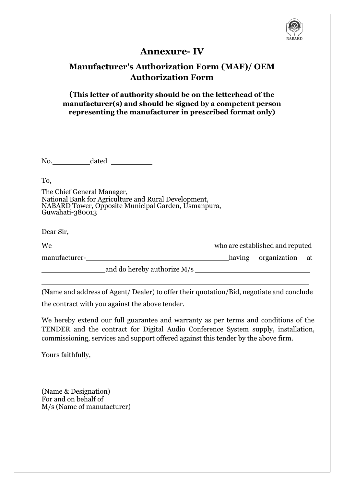

## **Annexure- IV**

## **Manufacturer's Authorization Form (MAF)/ OEM Authorization Form**

**(This letter of authority should be on the letterhead of the manufacturer(s) and should be signed by a competent person representing the manufacturer in prescribed format only)**

No. dated

To,

The Chief General Manager, National Bank for Agriculture and Rural Development, NABARD Tower, Opposite Municipal Garden, Usmanpura, Guwahati-380013

Dear Sir,

| We            |                             | who are established and reputed |                        |  |
|---------------|-----------------------------|---------------------------------|------------------------|--|
| manufacturer- |                             |                                 | having organization at |  |
|               | and do hereby authorize M/s |                                 |                        |  |

(Name and address of Agent/ Dealer) to offer their quotation/Bid, negotiate and conclude

the contract with you against the above tender.

We hereby extend our full guarantee and warranty as per terms and conditions of the TENDER and the contract for Digital Audio Conference System supply, installation, commissioning, services and support offered against this tender by the above firm.

Yours faithfully,

(Name & Designation) For and on behalf of M/s (Name of manufacturer)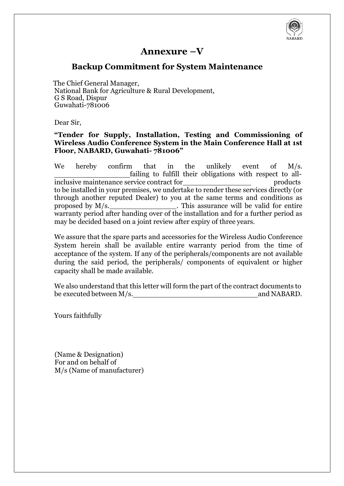

## **Annexure –V**

## **Backup Commitment for System Maintenance**

The Chief General Manager, National Bank for Agriculture & Rural Development, G S Road, Dispur Guwahati-781006

Dear Sir,

#### **"Tender for Supply, Installation, Testing and Commissioning of Wireless Audio Conference System in the Main Conference Hall at 1st Floor, NABARD, Guwahati- 781006"**

We hereby confirm that in the unlikely event of M/s. failing to fulfill their obligations with respect to allinclusive maintenance service contract for products to be installed in your premises, we undertake to render these services directly (or through another reputed Dealer) to you at the same terms and conditions as proposed by M/s. This assurance will be valid for entire warranty period after handing over of the installation and for a further period as may be decided based on a joint review after expiry of three years.

We assure that the spare parts and accessories for the Wireless Audio Conference System herein shall be available entire warranty period from the time of acceptance of the system. If any of the peripherals/components are not available during the said period, the peripherals/ components of equivalent or higher capacity shall be made available.

We also understand that this letter will form the part of the contract documents to be executed between  $M/s$ . and NABARD. be executed between  $M/s$ .

Yours faithfully

(Name & Designation) For and on behalf of M/s (Name of manufacturer)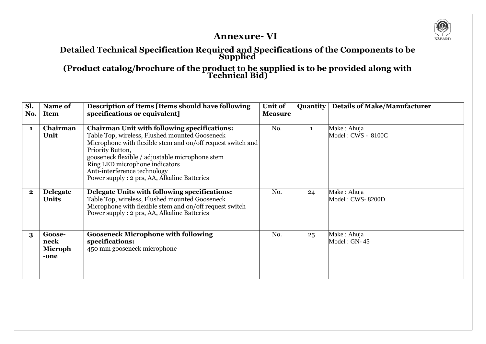

## **Annexure- VI**

### **Detailed Technical Specification Required and Specifications of the Components to be Supplied**

**(Product catalog/brochure of the product to be supplied is to be provided along with Technical Bid)**

| Sl.      | Name of                                  | Description of Items [Items should have following                                                                                                                                                                                                                                                                                                             | Unit of        | <b>Quantity</b> | <b>Details of Make/Manufacturer</b> |
|----------|------------------------------------------|---------------------------------------------------------------------------------------------------------------------------------------------------------------------------------------------------------------------------------------------------------------------------------------------------------------------------------------------------------------|----------------|-----------------|-------------------------------------|
| No.      | <b>Item</b>                              | specifications or equivalent]                                                                                                                                                                                                                                                                                                                                 | <b>Measure</b> |                 |                                     |
| 1        | Chairman<br>Unit                         | <b>Chairman Unit with following specifications:</b><br>Table Top, wireless, Flushed mounted Gooseneck<br>Microphone with flexible stem and on/off request switch and<br>Priority Button,<br>gooseneck flexible / adjustable microphone stem<br>Ring LED microphone indicators<br>Anti-interference technology<br>Power supply : 2 pcs, AA, Alkaline Batteries | No.            |                 | Make: Ahuja<br>Model: CWS - 8100C   |
| $\bf{2}$ | <b>Delegate</b><br><b>Units</b>          | Delegate Units with following specifications:<br>Table Top, wireless, Flushed mounted Gooseneck<br>Microphone with flexible stem and on/off request switch<br>Power supply : 2 pcs, AA, Alkaline Batteries                                                                                                                                                    | No.            | 24              | Make: Ahuja<br>Model: CWS-8200D     |
| $\bf{3}$ | Goose-<br>neck<br><b>Microph</b><br>-one | <b>Gooseneck Microphone with following</b><br>specifications:<br>450 mm gooseneck microphone                                                                                                                                                                                                                                                                  | No.            | 25              | Make : Ahuja<br>$Model: GN-45$      |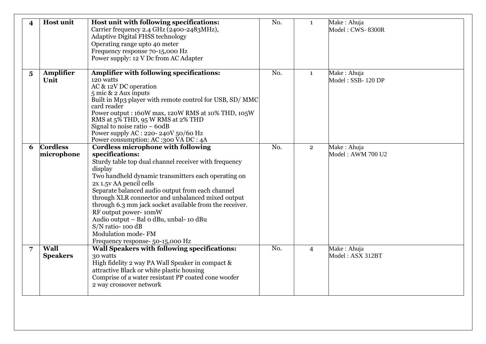| $\overline{\mathbf{4}}$ | <b>Host unit</b>               | Host unit with following specifications:<br>Carrier frequency 2.4 GHz (2400-2483MHz),<br><b>Adaptive Digital FHSS technology</b><br>Operating range upto 40 meter<br>Frequency response 70-15,000 Hz<br>Power supply: 12 V Dc from AC Adapter                                                                                                                                                                                                                                                                                                  | No. | $\mathbf{1}$   | Make: Ahuja<br>Model: CWS-8300R  |
|-------------------------|--------------------------------|------------------------------------------------------------------------------------------------------------------------------------------------------------------------------------------------------------------------------------------------------------------------------------------------------------------------------------------------------------------------------------------------------------------------------------------------------------------------------------------------------------------------------------------------|-----|----------------|----------------------------------|
| $\overline{\mathbf{5}}$ | <b>Amplifier</b><br>Unit       | <b>Amplifier with following specifications:</b><br>120 watts<br>AC & 12V DC operation<br>$5$ mic & 2 Aux inputs<br>Built in Mp3 player with remote control for USB, SD/MMC<br>card reader<br>Power output: 160W max, 120W RMS at 10% THD, 105W<br>RMS at 5% THD, 95 W RMS at 2% THD<br>Signal to noise ratio $-6$ od B<br>Power supply AC : 220-240V 50/60 Hz<br>Power consumption: AC:300 VA DC: 4A                                                                                                                                           | No. | $\mathbf{1}$   | Make: Ahuja<br>Model: SSB-120 DP |
| 6                       | <b>Cordless</b><br>microphone  | <b>Cordless microphone with following</b><br>specifications:<br>Sturdy table top dual channel receiver with frequency<br>display<br>Two handheld dynamic transmitters each operating on<br>2x 1.5y AA pencil cells<br>Separate balanced audio output from each channel<br>through XLR connector and unbalanced mixed output<br>through 6.3 mm jack socket available from the receiver.<br>RF output power-10mW<br>Audio output - Bal o dBu, unbal- 10 dBu<br>S/N ratio-100 dB<br><b>Modulation mode-FM</b><br>Frequency response- 50-15,000 Hz | No. | $\overline{2}$ | Make: Ahuja<br>Model: AWM 700 U2 |
| 7                       | <b>Wall</b><br><b>Speakers</b> | Wall Speakers with following specifications:<br>30 watts<br>High fidelity 2 way PA Wall Speaker in compact &<br>attractive Black or white plastic housing<br>Comprise of a water resistant PP coated cone woofer<br>2 way crossover network                                                                                                                                                                                                                                                                                                    | No. | $\overline{4}$ | Make: Ahuja<br>Model: ASX 312BT  |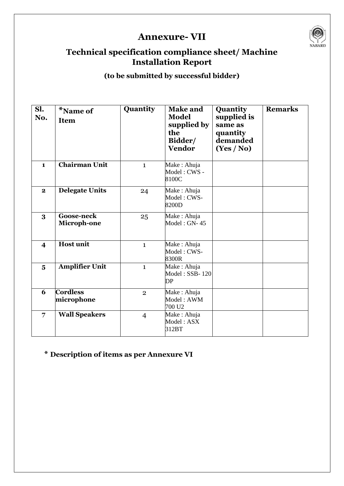# **Annexure- VII**



## **Technical specification compliance sheet/ Machine Installation Report**

## **(to be submitted by successful bidder)**

| Sl.<br>No.              | *Name of<br><b>Item</b>          | Quantity       | <b>Make and</b><br><b>Model</b><br>supplied by<br>the<br>Bidder/<br><b>Vendor</b> | Quantity<br>supplied is<br>same as<br>quantity<br>demanded<br>(Yes / No) | <b>Remarks</b> |
|-------------------------|----------------------------------|----------------|-----------------------------------------------------------------------------------|--------------------------------------------------------------------------|----------------|
|                         |                                  |                |                                                                                   |                                                                          |                |
| $\mathbf{1}$            | Chairman Unit                    | $\mathbf{1}$   | Make: Ahuja<br>Model: CWS -<br>8100C                                              |                                                                          |                |
| $\mathbf{2}$            | <b>Delegate Units</b>            | 24             | Make: Ahuja<br>Model: CWS-<br>8200D                                               |                                                                          |                |
| 3                       | <b>Goose-neck</b><br>Microph-one | 25             | Make: Ahuja<br>Model: GN-45                                                       |                                                                          |                |
| $\overline{\mathbf{4}}$ | <b>Host unit</b>                 | $\mathbf{1}$   | Make: Ahuja<br>Model: CWS-<br>8300R                                               |                                                                          |                |
| $\overline{\mathbf{5}}$ | <b>Amplifier Unit</b>            | $\mathbf{1}$   | Make: Ahuja<br>Model: SSB-120<br>DP                                               |                                                                          |                |
| 6                       | <b>Cordless</b><br>microphone    | $\overline{2}$ | Make: Ahuja<br>Model: AWM<br>700 U <sub>2</sub>                                   |                                                                          |                |
| $\overline{7}$          | <b>Wall Speakers</b>             | $\overline{4}$ | Make: Ahuja<br>Model: ASX<br>312BT                                                |                                                                          |                |

## **\* Description of items as per Annexure VI**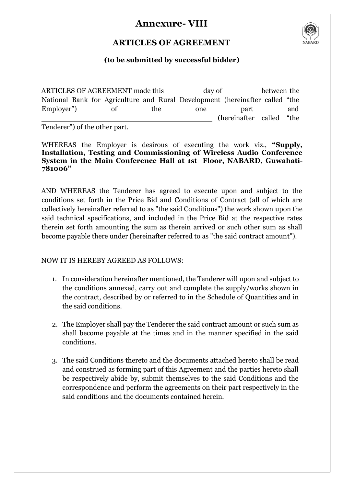## **Annexure- VIII**



## **ARTICLES OF AGREEMENT**

## **(to be submitted by successful bidder)**

ARTICLES OF AGREEMENT made this day of between the National Bank for Agriculture and Rural Development (hereinafter called "the Employer") of the one part and (hereinafter called "the

Tenderer") of the other part.

WHEREAS the Employer is desirous of executing the work viz., **"Supply, Installation, Testing and Commissioning of Wireless Audio Conference System in the Main Conference Hall at 1st Floor, NABARD, Guwahati-781006"**

AND WHEREAS the Tenderer has agreed to execute upon and subject to the conditions set forth in the Price Bid and Conditions of Contract (all of which are collectively hereinafter referred to as "the said Conditions") the work shown upon the said technical specifications, and included in the Price Bid at the respective rates therein set forth amounting the sum as therein arrived or such other sum as shall become payable there under (hereinafter referred to as "the said contract amount").

#### NOW IT IS HEREBY AGREED AS FOLLOWS:

- 1. In consideration hereinafter mentioned, the Tenderer will upon and subject to the conditions annexed, carry out and complete the supply/works shown in the contract, described by or referred to in the Schedule of Quantities and in the said conditions.
- 2. The Employer shall pay the Tenderer the said contract amount or such sum as shall become payable at the times and in the manner specified in the said conditions.
- 3. The said Conditions thereto and the documents attached hereto shall be read and construed as forming part of this Agreement and the parties hereto shall be respectively abide by, submit themselves to the said Conditions and the correspondence and perform the agreements on their part respectively in the said conditions and the documents contained herein.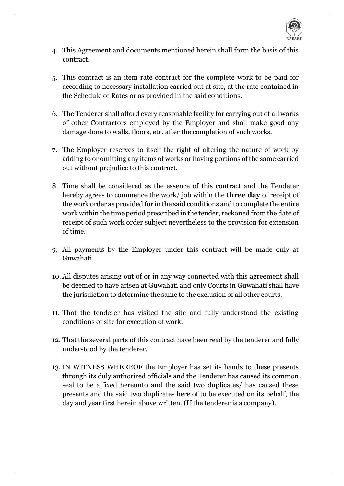

- 4. This Agreement and documents mentioned herein shall form the basis of this contract.
- 5. This contract is an item rate contract for the complete work to be paid for according to necessary installation carried out at site, at the rate contained in the Schedule of Rates or as provided in the said conditions.
- 6. The Tenderer shall afford every reasonable facility for carrying out of all works of other Contractors employed by the Employer and shall make good any damage done to walls, floors, etc. after the completion of such works.
- 7. The Employer reserves to itself the right of altering the nature of work by adding to or omitting any items of works or having portions of the same carried out without prejudice to this contract.
- 8. Time shall be considered as the essence of this contract and the Tenderer hereby agrees to commence the work/ job within the **three day** of receipt of the work order as provided for in the said conditions and to complete the entire work within the time period prescribed in the tender, reckoned from the date of receipt of such work order subject nevertheless to the provision for extension of time.
- 9. All payments by the Employer under this contract will be made only at Guwahati.
- 10. All disputes arising out of or in any way connected with this agreement shall be deemed to have arisen at Guwahati and only Courts in Guwahati shall have the jurisdiction to determine the same to the exclusion of all other courts.
- 11. That the tenderer has visited the site and fully understood the existing conditions of site for execution of work.
- 12. That the several parts of this contract have been read by the tenderer and fully understood by the tenderer.
- 13. IN WITNESS WHEREOF the Employer has set its hands to these presents through its duly authorized officials and the Tenderer has caused its common seal to be affixed hereunto and the said two duplicates/ has caused these presents and the said two duplicates here of to be executed on its behalf, the day and year first herein above written. (If the tenderer is a company).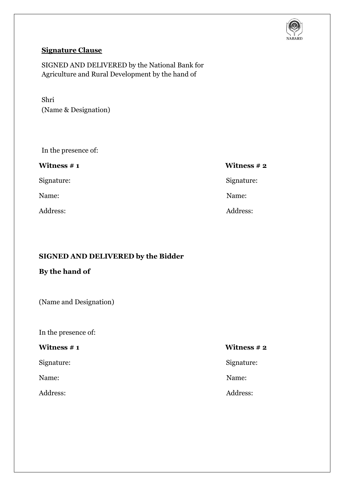

## **Signature Clause**

SIGNED AND DELIVERED by the National Bank for Agriculture and Rural Development by the hand of

Shri (Name & Designation)

In the presence of:

| <b>Witness # 1</b> | Witness $# 2$ |
|--------------------|---------------|
| Signature:         | Signature:    |
| Name:              | Name:         |
| Address:           | Address:      |

#### **SIGNED AND DELIVERED by the Bidder**

## **By the hand of**

(Name and Designation)

In the presence of:

## **Witness # 1 Witness # 2**

Signature: Signature:

Name: Name:

Address: Address: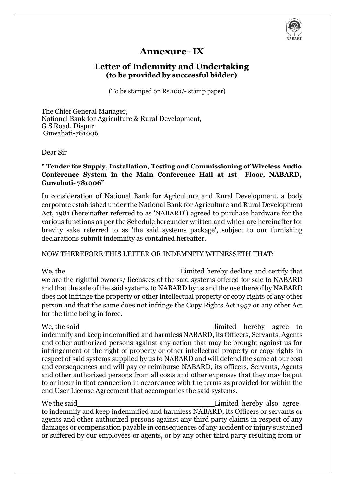

## **Annexure- IX**

## **Letter of Indemnity and Undertaking (to be provided by successful bidder)**

(To be stamped on Rs.100/- stamp paper)

The Chief General Manager, National Bank for Agriculture & Rural Development, G S Road, Dispur Guwahati-781006

#### Dear Sir

#### **" Tender for Supply, Installation, Testing and Commissioning of Wireless Audio Conference System in the Main Conference Hall at 1st Floor, NABARD, Guwahati- 781006"**

In consideration of National Bank for Agriculture and Rural Development, a body corporate established under the National Bank for Agriculture and Rural Development Act, 1981 (hereinafter referred to as 'NABARD') agreed to purchase hardware for the various functions as per the Schedule hereunder written and which are hereinafter for brevity sake referred to as 'the said systems package', subject to our furnishing declarations submit indemnity as contained hereafter.

#### NOW THEREFORE THIS LETTER OR INDEMNITY WITNESSETH THAT:

We, the Limited hereby declare and certify that we are the rightful owners/ licensees of the said systems offered for sale to NABARD and that the sale of the said systems to NABARD by us and the use thereof by NABARD does not infringe the property or other intellectual property or copy rights of any other person and that the same does not infringe the Copy Rights Act 1957 or any other Act for the time being in force.

We, the said **is a set of the said** imited hereby agree to indemnify and keep indemnified and harmless NABARD, its Officers, Servants, Agents and other authorized persons against any action that may be brought against us for infringement of the right of property or other intellectual property or copy rights in respect of said systems supplied by us to NABARD and will defend the same at our cost and consequences and will pay or reimburse NABARD, its officers, Servants, Agents and other authorized persons from all costs and other expenses that they may be put to or incur in that connection in accordance with the terms as provided for within the end User License Agreement that accompanies the said systems.

We the said **Limited hereby also agree** to indemnify and keep indemnified and harmless NABARD, its Officers or servants or agents and other authorized persons against any third party claims in respect of any damages or compensation payable in consequences of any accident or injury sustained or suffered by our employees or agents, or by any other third party resulting from or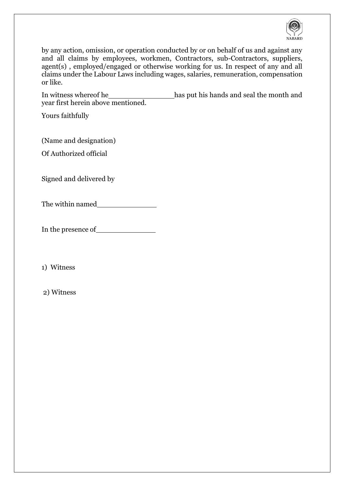

by any action, omission, or operation conducted by or on behalf of us and against any and all claims by employees, workmen, Contractors, sub-Contractors, suppliers, agent(s) , employed/engaged or otherwise working for us. In respect of any and all claims under the Labour Laws including wages, salaries, remuneration, compensation or like.

In witness whereof he has put his hands and seal the month and year first herein above mentioned.

Yours faithfully

(Name and designation)

Of Authorized official

Signed and delivered by

The within named

In the presence of

1) Witness

2) Witness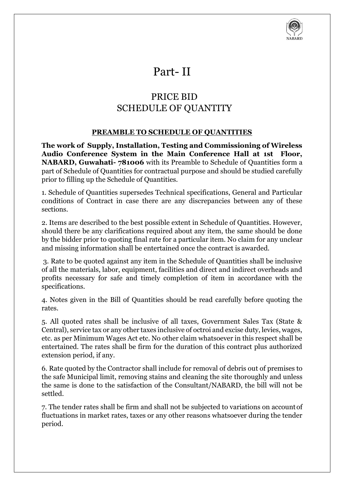

# Part- II

# PRICE BID SCHEDULE OF QUANTITY

#### **PREAMBLE TO SCHEDULE OF QUANTITIES**

**The work of Supply, Installation, Testing and Commissioning of Wireless Audio Conference System in the Main Conference Hall at 1st Floor, NABARD, Guwahati- 781006** with its Preamble to Schedule of Quantities form a part of Schedule of Quantities for contractual purpose and should be studied carefully prior to filling up the Schedule of Quantities.

1. Schedule of Quantities supersedes Technical specifications, General and Particular conditions of Contract in case there are any discrepancies between any of these sections.

2. Items are described to the best possible extent in Schedule of Quantities. However, should there be any clarifications required about any item, the same should be done by the bidder prior to quoting final rate for a particular item. No claim for any unclear and missing information shall be entertained once the contract is awarded.

3. Rate to be quoted against any item in the Schedule of Quantities shall be inclusive of all the materials, labor, equipment, facilities and direct and indirect overheads and profits necessary for safe and timely completion of item in accordance with the specifications.

4. Notes given in the Bill of Quantities should be read carefully before quoting the rates.

5. All quoted rates shall be inclusive of all taxes, Government Sales Tax (State & Central), service tax or any other taxes inclusive of octroi and excise duty, levies, wages, etc. as per Minimum Wages Act etc. No other claim whatsoever in this respect shall be entertained. The rates shall be firm for the duration of this contract plus authorized extension period, if any.

6. Rate quoted by the Contractor shall include for removal of debris out of premises to the safe Municipal limit, removing stains and cleaning the site thoroughly and unless the same is done to the satisfaction of the Consultant/NABARD, the bill will not be settled.

7. The tender rates shall be firm and shall not be subjected to variations on accountof fluctuations in market rates, taxes or any other reasons whatsoever during the tender period.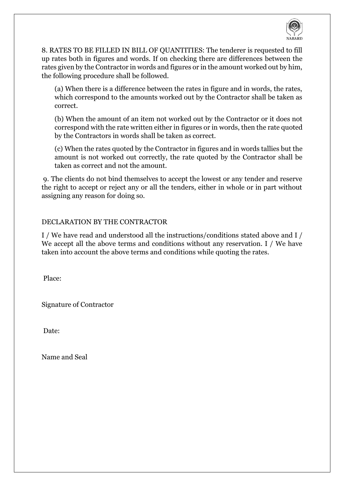

8. RATES TO BE FILLED IN BILL OF QUANTITIES: The tenderer is requested to fill up rates both in figures and words. If on checking there are differences between the rates given by the Contractor in words and figures or in the amount worked out by him, the following procedure shall be followed.

(a) When there is a difference between the rates in figure and in words, the rates, which correspond to the amounts worked out by the Contractor shall be taken as correct.

(b) When the amount of an item not worked out by the Contractor or it does not correspond with the rate written either in figures or in words, then the rate quoted by the Contractors in words shall be taken as correct.

(c) When the rates quoted by the Contractor in figures and in words tallies but the amount is not worked out correctly, the rate quoted by the Contractor shall be taken as correct and not the amount.

9. The clients do not bind themselves to accept the lowest or any tender and reserve the right to accept or reject any or all the tenders, either in whole or in part without assigning any reason for doing so.

#### DECLARATION BY THE CONTRACTOR

I / We have read and understood all the instructions/conditions stated above and I / We accept all the above terms and conditions without any reservation. I / We have taken into account the above terms and conditions while quoting the rates.

Place:

Signature of Contractor

Date:

Name and Seal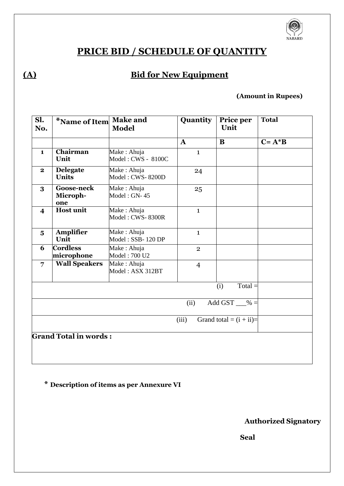

# **PRICE BID / SCHEDULE OF QUANTITY**

# **(A) Bid for New Equipment**

### **(Amount in Rupees)**

| Sl.<br>No.                   | *Name of Item                        | <b>Make and</b><br><b>Model</b>   | <b>Quantity</b> | Price per<br>Unit | <b>Total</b> |  |  |
|------------------------------|--------------------------------------|-----------------------------------|-----------------|-------------------|--------------|--|--|
|                              |                                      |                                   | $\mathbf{A}$    | B                 | $C = A^*B$   |  |  |
| $\mathbf{1}$                 | Chairman<br>Unit                     | Make: Ahuja<br>Model: CWS - 8100C | $\mathbf{1}$    |                   |              |  |  |
| $\mathbf{2}$                 | <b>Delegate</b><br><b>Units</b>      | Make: Ahuja<br>Model: CWS-8200D   | 24              |                   |              |  |  |
| 3                            | <b>Goose-neck</b><br>Microph-<br>one | Make: Ahuja<br>$Model: GN-45$     | 25              |                   |              |  |  |
| $\overline{\mathbf{4}}$      | <b>Host unit</b>                     | Make: Ahuja<br>Model: CWS-8300R   | $\mathbf{1}$    |                   |              |  |  |
| $\overline{\mathbf{5}}$      | Amplifier<br>Unit                    | Make: Ahuja<br>Model: SSB-120 DP  | $\mathbf{1}$    |                   |              |  |  |
| 6                            | <b>Cordless</b><br>microphone        | Make: Ahuja<br>Model: 700 U2      | $\overline{2}$  |                   |              |  |  |
| $\overline{7}$               | <b>Wall Speakers</b>                 | Make: Ahuja<br>Model: ASX 312BT   | $\overline{4}$  |                   |              |  |  |
|                              | $Total =$<br>(i)                     |                                   |                 |                   |              |  |  |
|                              | Add GST $\_\% =$<br>(ii)             |                                   |                 |                   |              |  |  |
|                              | (iii)<br>Grand total = $(i + ii)$ =  |                                   |                 |                   |              |  |  |
| <b>Grand Total in words:</b> |                                      |                                   |                 |                   |              |  |  |

**\* Description of items as per Annexure VI**

**Authorized Signatory**

**Seal**